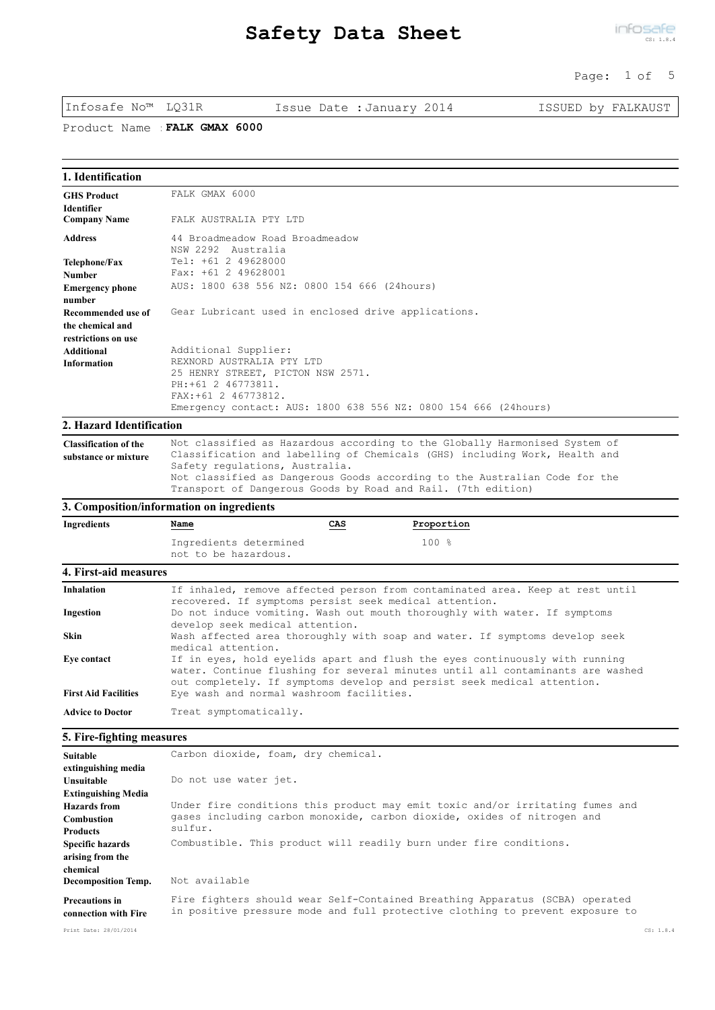#### Page: 1 of 5

Infosafe No™ LQ31R Issue Date :January 2014 ISSUED by FALKAUST

Product Name :**FALK GMAX 6000**

| 1. Identification                                    |                                                                                                                                                                                                                                                                                                                                          |  |  |  |  |  |
|------------------------------------------------------|------------------------------------------------------------------------------------------------------------------------------------------------------------------------------------------------------------------------------------------------------------------------------------------------------------------------------------------|--|--|--|--|--|
| <b>GHS Product</b>                                   | FALK GMAX 6000                                                                                                                                                                                                                                                                                                                           |  |  |  |  |  |
| <b>Identifier</b>                                    |                                                                                                                                                                                                                                                                                                                                          |  |  |  |  |  |
| <b>Company Name</b>                                  | FALK AUSTRALIA PTY LTD                                                                                                                                                                                                                                                                                                                   |  |  |  |  |  |
| <b>Address</b>                                       | 44 Broadmeadow Road Broadmeadow<br>NSW 2292 Australia                                                                                                                                                                                                                                                                                    |  |  |  |  |  |
| <b>Telephone/Fax</b>                                 | Tel: +61 2 49628000                                                                                                                                                                                                                                                                                                                      |  |  |  |  |  |
| <b>Number</b>                                        | Fax: +61 2 49628001                                                                                                                                                                                                                                                                                                                      |  |  |  |  |  |
| <b>Emergency phone</b><br>number                     | AUS: 1800 638 556 NZ: 0800 154 666 (24hours)                                                                                                                                                                                                                                                                                             |  |  |  |  |  |
| Recommended use of<br>the chemical and               | Gear Lubricant used in enclosed drive applications.                                                                                                                                                                                                                                                                                      |  |  |  |  |  |
| restrictions on use                                  |                                                                                                                                                                                                                                                                                                                                          |  |  |  |  |  |
| <b>Additional</b>                                    | Additional Supplier:                                                                                                                                                                                                                                                                                                                     |  |  |  |  |  |
| <b>Information</b>                                   | REXNORD AUSTRALIA PTY LTD                                                                                                                                                                                                                                                                                                                |  |  |  |  |  |
|                                                      | 25 HENRY STREET, PICTON NSW 2571.<br>PH: +61 2 46773811.                                                                                                                                                                                                                                                                                 |  |  |  |  |  |
|                                                      | FAX: +61 2 46773812.                                                                                                                                                                                                                                                                                                                     |  |  |  |  |  |
|                                                      | Emergency contact: AUS: 1800 638 556 NZ: 0800 154 666 (24hours)                                                                                                                                                                                                                                                                          |  |  |  |  |  |
| 2. Hazard Identification                             |                                                                                                                                                                                                                                                                                                                                          |  |  |  |  |  |
| <b>Classification of the</b><br>substance or mixture | Not classified as Hazardous according to the Globally Harmonised System of<br>Classification and labelling of Chemicals (GHS) including Work, Health and<br>Safety requlations, Australia.<br>Not classified as Dangerous Goods according to the Australian Code for the<br>Transport of Dangerous Goods by Road and Rail. (7th edition) |  |  |  |  |  |
|                                                      | 3. Composition/information on ingredients                                                                                                                                                                                                                                                                                                |  |  |  |  |  |
| <b>Ingredients</b>                                   | Proportion<br>Name<br>CAS                                                                                                                                                                                                                                                                                                                |  |  |  |  |  |
|                                                      | Ingredients determined<br>100%<br>not to be hazardous.                                                                                                                                                                                                                                                                                   |  |  |  |  |  |
| 4. First-aid measures                                |                                                                                                                                                                                                                                                                                                                                          |  |  |  |  |  |
| <b>Inhalation</b>                                    | If inhaled, remove affected person from contaminated area. Keep at rest until<br>recovered. If symptoms persist seek medical attention.                                                                                                                                                                                                  |  |  |  |  |  |
| Ingestion                                            | Do not induce vomiting. Wash out mouth thoroughly with water. If symptoms<br>develop seek medical attention.                                                                                                                                                                                                                             |  |  |  |  |  |
| <b>Skin</b>                                          | Wash affected area thoroughly with soap and water. If symptoms develop seek<br>medical attention.                                                                                                                                                                                                                                        |  |  |  |  |  |
| Eve contact                                          | If in eyes, hold eyelids apart and flush the eyes continuously with running                                                                                                                                                                                                                                                              |  |  |  |  |  |

First Aid Facilities Eye wash and normal washroom facilities.

Advice to Doctor Treat symptomatically.

### **5. Fire-fighting measures**

| <b>Suitable</b>                               | Carbon dioxide, foam, dry chemical.                                                                                                                           |
|-----------------------------------------------|---------------------------------------------------------------------------------------------------------------------------------------------------------------|
| extinguishing media                           |                                                                                                                                                               |
| <b>Unsuitable</b>                             | Do not use water jet.                                                                                                                                         |
| <b>Extinguishing Media</b>                    |                                                                                                                                                               |
| <b>Hazards</b> from                           | Under fire conditions this product may emit toxic and/or irritating fumes and                                                                                 |
| Combustion                                    | gases including carbon monoxide, carbon dioxide, oxides of nitrogen and                                                                                       |
| <b>Products</b>                               | sulfur.                                                                                                                                                       |
| <b>Specific hazards</b>                       | Combustible. This product will readily burn under fire conditions.                                                                                            |
| arising from the                              |                                                                                                                                                               |
| chemical                                      |                                                                                                                                                               |
| <b>Decomposition Temp.</b>                    | Not available                                                                                                                                                 |
| <b>Precautions in</b><br>connection with Fire | Fire fighters should wear Self-Contained Breathing Apparatus (SCBA) operated<br>in positive pressure mode and full protective clothing to prevent exposure to |
|                                               |                                                                                                                                                               |

out completely. If symptoms develop and persist seek medical attention.

water. Continue flushing for several minutes until all contaminants are washed

Print Date: 28/01/2014 CS: 1.8.4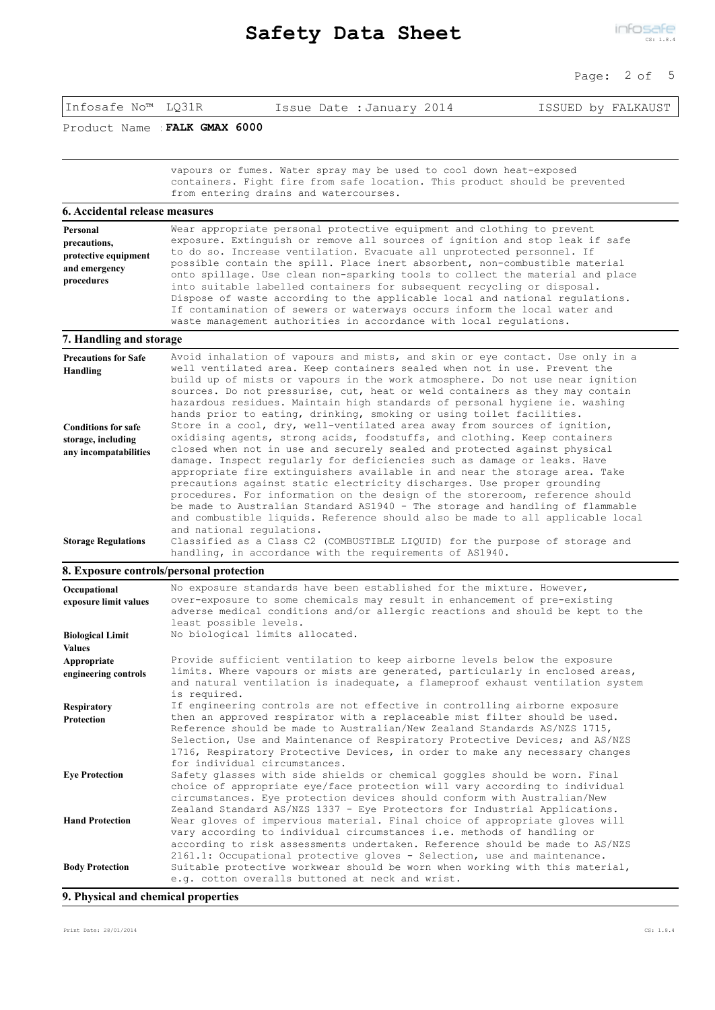### Page: 2 of 5

Product Name :**FALK GMAX 6000**

vapours or fumes. Water spray may be used to cool down heat-exposed containers. Fight fire from safe location. This product should be prevented from entering drains and watercourses.

#### **6. Accidental release measures**

| Personal             | Wear appropriate personal protective equipment and clothing to prevent        |
|----------------------|-------------------------------------------------------------------------------|
| precautions,         | exposure. Extinguish or remove all sources of ignition and stop leak if safe  |
| protective equipment | to do so. Increase ventilation. Evacuate all unprotected personnel. If        |
| and emergency        | possible contain the spill. Place inert absorbent, non-combustible material   |
|                      | onto spillage. Use clean non-sparking tools to collect the material and place |
| procedures           | into suitable labelled containers for subsequent recycling or disposal.       |
|                      | Dispose of waste according to the applicable local and national regulations.  |
|                      | If contamination of sewers or waterways occurs inform the local water and     |
|                      | waste management authorities in accordance with local regulations.            |

#### **7. Handling and storage**

| <b>Precautions for Safe</b><br>Handling                                   | Avoid inhalation of vapours and mists, and skin or eye contact. Use only in a<br>well ventilated area. Keep containers sealed when not in use. Prevent the<br>build up of mists or vapours in the work atmosphere. Do not use near ignition<br>sources. Do not pressurise, cut, heat or weld containers as they may contain<br>hazardous residues. Maintain high standards of personal hygiene ie. washing<br>hands prior to eating, drinking, smoking or using toilet facilities.                                                                                                                                                                                                                                           |
|---------------------------------------------------------------------------|------------------------------------------------------------------------------------------------------------------------------------------------------------------------------------------------------------------------------------------------------------------------------------------------------------------------------------------------------------------------------------------------------------------------------------------------------------------------------------------------------------------------------------------------------------------------------------------------------------------------------------------------------------------------------------------------------------------------------|
| <b>Conditions for safe</b><br>storage, including<br>any incompatabilities | Store in a cool, dry, well-ventilated area away from sources of ignition,<br>oxidising agents, strong acids, foodstuffs, and clothing. Keep containers<br>closed when not in use and securely sealed and protected against physical<br>damage. Inspect regularly for deficiencies such as damage or leaks. Have<br>appropriate fire extinguishers available in and near the storage area. Take<br>precautions against static electricity discharges. Use proper grounding<br>procedures. For information on the design of the storeroom, reference should<br>be made to Australian Standard AS1940 - The storage and handling of flammable<br>and combustible liquids. Reference should also be made to all applicable local |
| <b>Storage Regulations</b>                                                | and national regulations.<br>Classified as a Class C2 (COMBUSTIBLE LIQUID) for the purpose of storage and<br>handling, in accordance with the requirements of AS1940.                                                                                                                                                                                                                                                                                                                                                                                                                                                                                                                                                        |

#### **8. Exposure controls/personal protection**

| Occupational            | No exposure standards have been established for the mixture. However,                                                                                                                                                                                                                                                                                    |
|-------------------------|----------------------------------------------------------------------------------------------------------------------------------------------------------------------------------------------------------------------------------------------------------------------------------------------------------------------------------------------------------|
| exposure limit values   | over-exposure to some chemicals may result in enhancement of pre-existing<br>adverse medical conditions and/or allergic reactions and should be kept to the                                                                                                                                                                                              |
|                         | least possible levels.                                                                                                                                                                                                                                                                                                                                   |
| <b>Biological Limit</b> | No biological limits allocated.                                                                                                                                                                                                                                                                                                                          |
| <b>Values</b>           |                                                                                                                                                                                                                                                                                                                                                          |
| Appropriate             | Provide sufficient ventilation to keep airborne levels below the exposure                                                                                                                                                                                                                                                                                |
| engineering controls    | limits. Where vapours or mists are generated, particularly in enclosed areas,<br>and natural ventilation is inadequate, a flameproof exhaust ventilation system<br>is required.                                                                                                                                                                          |
| <b>Respiratory</b>      | If engineering controls are not effective in controlling airborne exposure                                                                                                                                                                                                                                                                               |
| Protection              | then an approved respirator with a replaceable mist filter should be used.<br>Reference should be made to Australian/New Zealand Standards AS/NZS 1715,<br>Selection, Use and Maintenance of Respiratory Protective Devices; and AS/NZS<br>1716, Respiratory Protective Devices, in order to make any necessary changes<br>for individual circumstances. |
| <b>Eve Protection</b>   | Safety glasses with side shields or chemical goggles should be worn. Final<br>choice of appropriate eye/face protection will vary according to individual<br>circumstances. Eye protection devices should conform with Australian/New<br>Zealand Standard AS/NZS 1337 - Eye Protectors for Industrial Applications.                                      |
| <b>Hand Protection</b>  | Wear gloves of impervious material. Final choice of appropriate gloves will<br>vary according to individual circumstances i.e. methods of handling or<br>according to risk assessments undertaken. Reference should be made to AS/NZS<br>2161.1: Occupational protective gloves - Selection, use and maintenance.                                        |
| <b>Body Protection</b>  | Suitable protective workwear should be worn when working with this material,<br>e.g. cotton overalls buttoned at neck and wrist.                                                                                                                                                                                                                         |

**9. Physical and chemical properties**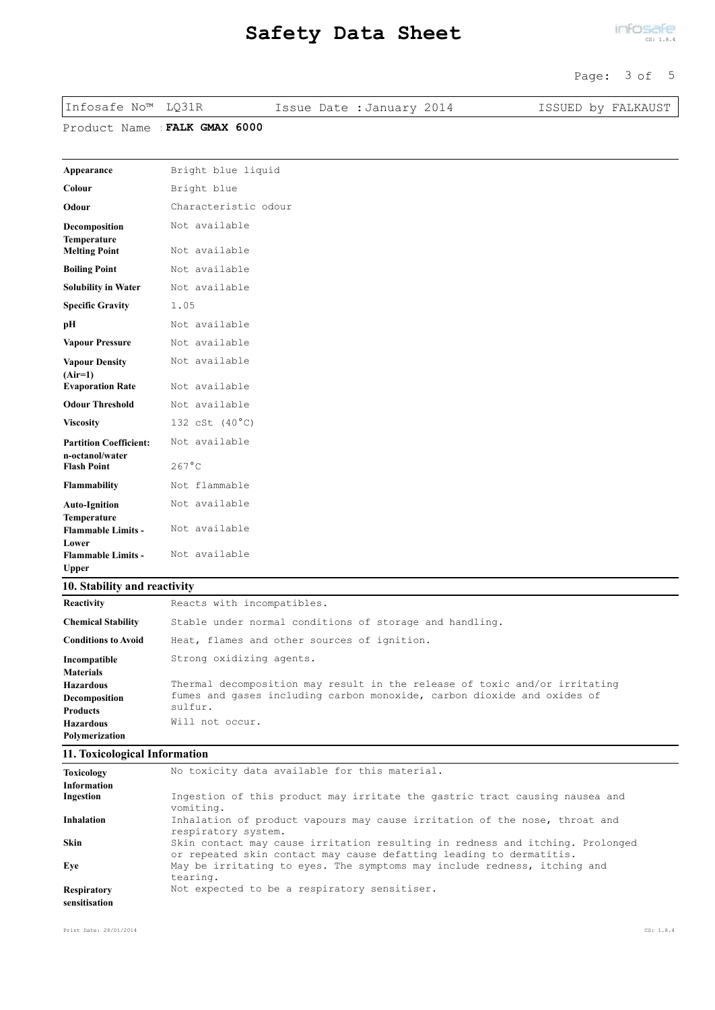#### Page: 3 of 5

| Infosafe No™ LQ31R |                             | Issue Date : January 2014 | ISSUED by FALKAUST |
|--------------------|-----------------------------|---------------------------|--------------------|
|                    | Product Name FALK GMAX 6000 |                           |                    |
|                    |                             |                           |                    |

| Appearance                                       | Bright blue liquid   |
|--------------------------------------------------|----------------------|
| Colour                                           | Bright blue          |
| Odour                                            | Characteristic odour |
| Decomposition<br><b>Temperature</b>              | Not available        |
| <b>Melting Point</b>                             | Not available        |
| <b>Boiling Point</b>                             | Not available        |
| <b>Solubility in Water</b>                       | Not available        |
| <b>Specific Gravity</b>                          | 1.05                 |
| pH                                               | Not available        |
| <b>Vapour Pressure</b>                           | Not available        |
| <b>Vapour Density</b><br>$(Air=1)$               | Not available        |
| <b>Evaporation Rate</b>                          | Not available        |
| <b>Odour Threshold</b>                           | Not available        |
| <b>Viscosity</b>                                 | 132 cSt (40°C)       |
| <b>Partition Coefficient:</b><br>n-octanol/water | Not available        |
| <b>Flash Point</b>                               | $267^{\circ}$ C      |
| <b>Flammability</b>                              | Not flammable        |
| <b>Auto-Ignition</b><br><b>Temperature</b>       | Not available        |
| <b>Flammable Limits -</b><br>Lower               | Not available        |
| <b>Flammable Limits -</b><br><b>Upper</b>        | Not available        |

# **10. Stability and reactivity**

| Reactivity                 | Reacts with incompatibles.                                                 |  |  |  |  |  |
|----------------------------|----------------------------------------------------------------------------|--|--|--|--|--|
| <b>Chemical Stability</b>  | Stable under normal conditions of storage and handling.                    |  |  |  |  |  |
| <b>Conditions to Avoid</b> | Heat, flames and other sources of ignition.                                |  |  |  |  |  |
| Incompatible               | Strong oxidizing agents.                                                   |  |  |  |  |  |
| <b>Materials</b>           |                                                                            |  |  |  |  |  |
| <b>Hazardous</b>           | Thermal decomposition may result in the release of toxic and/or irritating |  |  |  |  |  |
| Decomposition              | fumes and gases including carbon monoxide, carbon dioxide and oxides of    |  |  |  |  |  |
| <b>Products</b>            | sulfur.                                                                    |  |  |  |  |  |
| <b>Hazardous</b>           | Will not occur.                                                            |  |  |  |  |  |
| Polymerization             |                                                                            |  |  |  |  |  |
|                            |                                                                            |  |  |  |  |  |

### **11. Toxicological Information**

| <b>Toxicology</b>                   | No toxicity data available for this material.                                                                                                        |
|-------------------------------------|------------------------------------------------------------------------------------------------------------------------------------------------------|
| <b>Information</b>                  |                                                                                                                                                      |
| Ingestion                           | Ingestion of this product may irritate the gastric tract causing nausea and<br>vomiting.                                                             |
| <b>Inhalation</b>                   | Inhalation of product vapours may cause irritation of the nose, throat and<br>respiratory system.                                                    |
| <b>Skin</b>                         | Skin contact may cause irritation resulting in redness and itching. Prolonged<br>or repeated skin contact may cause defatting leading to dermatitis. |
| Eve                                 | May be irritating to eyes. The symptoms may include redness, itching and<br>tearing.                                                                 |
| <b>Respiratory</b><br>sensitisation | Not expected to be a respiratory sensitiser.                                                                                                         |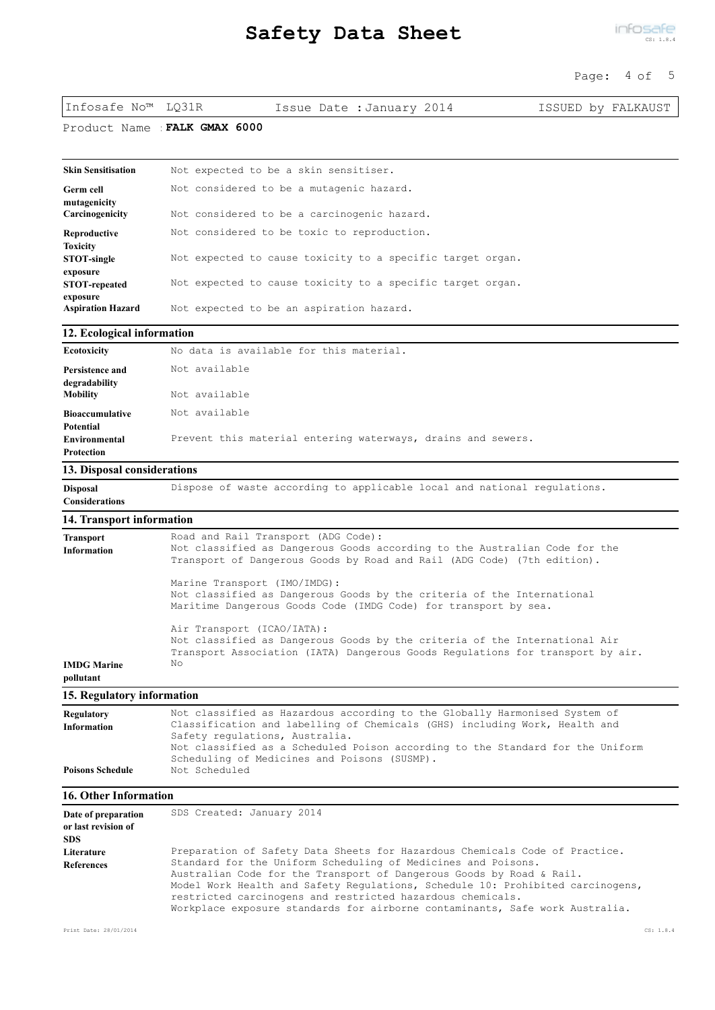#### Page: 4 of 5

| Infosafe No™ LQ31R |                             | Issue Date : January 2014 |  | ISSUED by FALKAUST |  |
|--------------------|-----------------------------|---------------------------|--|--------------------|--|
|                    | Product Name FALK CMAY 6000 |                           |  |                    |  |

Product Name :**FALK GMAX 6000**

| Skin Sensitisation                   | Not expected to be a skin sensitiser.                      |
|--------------------------------------|------------------------------------------------------------|
| Germ cell<br>mutagenicity            | Not considered to be a mutagenic hazard.                   |
| Carcinogenicity                      | Not considered to be a carcinogenic hazard.                |
| Reproductive                         | Not considered to be toxic to reproduction.                |
| Toxicity<br><b>STOT-single</b>       | Not expected to cause toxicity to a specific target organ. |
| exposure<br><b>STOT-repeated</b>     | Not expected to cause toxicity to a specific target organ. |
| exposure<br><b>Aspiration Hazard</b> | Not expected to be an aspiration hazard.                   |

### **12. Ecological information**

| Ecotoxicity                              | No data is available for this material.                      |
|------------------------------------------|--------------------------------------------------------------|
| Persistence and<br>degradability         | Not available                                                |
| Mobility                                 | Not available                                                |
| <b>Bioaccumulative</b>                   | Not available                                                |
| Potential<br>Environmental<br>Protection | Prevent this material entering waterways, drains and sewers. |
| $\sim$ $ \sim$                           |                                                              |

## **13. Disposal considerations**

**Disposal Dispose of waste according to applicable local and national regulations. Considerations**

#### **14. Transport information**

| Not classified as Dangerous Goods according to the Australian Code for the     |
|--------------------------------------------------------------------------------|
| Transport of Dangerous Goods by Road and Rail (ADG Code) (7th edition).        |
| Marine Transport (IMO/IMDG):                                                   |
| Not classified as Dangerous Goods by the criteria of the International         |
| Maritime Dangerous Goods Code (IMDG Code) for transport by sea.                |
| Air Transport (ICAO/IATA):                                                     |
| Not classified as Dangerous Goods by the criteria of the International Air     |
| Transport Association (IATA) Dangerous Goods Requlations for transport by air. |
|                                                                                |
|                                                                                |
|                                                                                |

#### **15. Regulatory information**

| Regulatory              | Not classified as Hazardous according to the Globally Harmonised System of     |
|-------------------------|--------------------------------------------------------------------------------|
| <b>Information</b>      | Classification and labelling of Chemicals (GHS) including Work, Health and     |
|                         | Safety regulations, Australia.                                                 |
|                         | Not classified as a Scheduled Poison according to the Standard for the Uniform |
|                         | Scheduling of Medicines and Poisons (SUSMP).                                   |
| <b>Poisons Schedule</b> | Not Scheduled                                                                  |
|                         |                                                                                |

#### **16. Other Information**

| Date of preparation | SDS Created: January 2014                                                      |
|---------------------|--------------------------------------------------------------------------------|
| or last revision of |                                                                                |
| <b>SDS</b>          |                                                                                |
| Literature          | Preparation of Safety Data Sheets for Hazardous Chemicals Code of Practice.    |
| <b>References</b>   | Standard for the Uniform Scheduling of Medicines and Poisons.                  |
|                     | Australian Code for the Transport of Dangerous Goods by Road & Rail.           |
|                     | Model Work Health and Safety Requlations, Schedule 10: Prohibited carcinogens, |
|                     | restricted carcinogens and restricted hazardous chemicals.                     |
|                     | Workplace exposure standards for airborne contaminants, Safe work Australia.   |